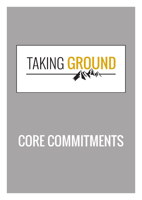

# CORE COMMITMENTS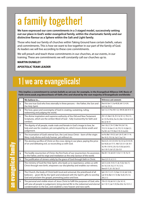## a family together!

**We have expressed our core commitments in a 3 staged model, successively setting out our place in God's wider evangelical family, within the charismatic family and our distinctive flavour as a Sphere within the Salt and Light family.** 

Those who lead our family of churches within Taking Ground have certain beliefs, values and commitments. This is how we want to live together in our part of the family of God. As leaders we will live according to these core commitments.

We will preach and teach these commitments in our churches, at our events, in our training. These are commitments we will constantly call our churches up to.

#### **MARTIN DUNKLEY**

#### **APOSTOLIC TEAM LEADER**

### 1 | we are evangelicals!

**This implies a commitment to certain beliefs as set out, for example, in the Evangelical Alliance (UK) Basis of Faith (www.eauk.org/about/basis-of-faith.cfm) and shared by the vast majority of Evangelicals worldwide:**

|              | We believe in                                                                                                                                                                                                                                   | <b>References and comments</b>                                                                                                                                                        |  |
|--------------|-------------------------------------------------------------------------------------------------------------------------------------------------------------------------------------------------------------------------------------------------|---------------------------------------------------------------------------------------------------------------------------------------------------------------------------------------|--|
| a            | The one true God who lives eternally in three persons - the Father, the Son and<br>the Holy Spirit.                                                                                                                                             | Deu 6:4; Gen 1:1; Isa 40:28; Joh 1:3; 4:24;<br>Col 1:16; 1Ti 2:5                                                                                                                      |  |
| $\mathbf b$  | The love, grace and sovereignty of God in creating, sustaining, ruling,<br>redeeming and judging the world.                                                                                                                                     | Gen 1:2; 2:7; Psa 103:1-22, 104:30; Job 34:14-15                                                                                                                                      |  |
| $\mathsf{C}$ | The divine inspiration and supreme authority of the Old and New Testament<br>Scriptures, which are the written Word of God - fully trustworthy for faith and<br>conduct.                                                                        | 2Pe 1:21; Mat 5:18; 2Ti 3:16; Tit 1:2; 1Th 2:13;<br>Jer 1:9; Pro 30:56; 2Sa 23:2; Mar 12:30; Act 4:25;<br>Rev 22:18-19                                                                |  |
| $\mathsf{d}$ | The dignity of all people, made male and female in God's image to love, be<br>holy and care for creation, yet corrupted by sin, which incurs divine wrath and<br>judgement.                                                                     | Gen 1:26; 2:7, 16-17; Mat 19:4; Col 1:16;<br>1Ti 2:13-14; Gen 3:1-24; 1Ti 2:13-14; Eph 2:3;<br>Psa 58:3; Jer 17:9; Rom 3:10-23; Isa 64:6                                              |  |
| e            | The incarnation of God's eternal Son, the Lord Jesus Christ - born of the virgin<br>Mary; truly divine and truly human, yet without sin.                                                                                                        | Isa 9:6; Mat 1:18-25; Luk 1:26-37; Joh 1:1-14;<br>Rev 19:13; 1Ti 3:16; 1Jo 5:7; Isa 7:14                                                                                              |  |
| f            | The atoning sacrifice of Christ on the cross: dying in our place, paying the price<br>of sin and defeating evil, so reconciling us with God.                                                                                                    | Rom 6:23; 2:23-25; 8:34; 1Jo 3:4; Isa 53:4-8,10;<br>Eze 18:20; Lev 17:11; Heb 7:25; 9,11-28; 10:1-<br>18; 1Pe 1:18 19; 2:24; 1Co 15:38; Luk 24:51;<br>Act 1:10-11; Col 1:27; 2Co 13:5 |  |
| g            | The bodily resurrection of Christ, the first fruits of our resurrection; his ascension<br>to the Father, and his reign and mediation as the only Saviour of the world.                                                                          | Mat 28:1-10; Joh 20:1-9; Act 1:1-10; 1Co 15                                                                                                                                           |  |
| h            | The justification of sinners solely by the grace of God through faith in Christ.                                                                                                                                                                | Rom 3:21-31; 4; 5:1-5                                                                                                                                                                 |  |
| i.           | The ministry of God the Holy Spirit, who leads us to repentance, unites us with<br>Christ through new birth, empowers our discipleship and enables our witness.                                                                                 | Joh 3:5; 6:44; 14:16-17, 26; 15:26; 16:6-11;<br>Act 1:8; 5:34; 1Co 2:11 14; 12:13;<br>Rom 6:9-11, 8:1-39; 1Jo 5:7                                                                     |  |
| j            | The Church, the body of Christ both local and universal, the priesthood of all<br>believers - given life by the Spirit and endowed with the Spirit's gifts to worship<br>God and proclaim the gospel, promoting justice and love.               | Eph 3:10-11; 4:11-13; Rom 12:3-8; Joh 12:44;<br>Luk 10:16; Mat 5:13-14; Mar 16:20; 2Ti 2:12;<br>2Pe 2:1-3                                                                             |  |
| k            | The personal and visible return of Jesus Christ to fulfil the purposes of God, who<br>will raise all people to judgement, bring eternal life to the redeemed and eternal<br>condemnation to the lost, and establish a new heaven and new earth. | 1Th 4:13-18; Joh 14:1-3; Zec 14:1-9;<br>Act 1:10-11; Luk 11:39; Rev 20:6; 1Co 15:51-2                                                                                                 |  |

an evangelical family **an evangelical family**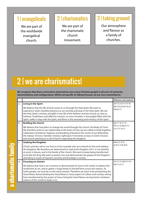#### 1 | evangelicals

We are part of the worldwide evangelical church.

#### 2 | charismatics

We are part of the charismatic church movement.

### 3 | taking ground

Our atmosphere and flavour as a family of churches.

## 2 | we are charismatics!

**We recognise that these convictions characterise very many Christian people in all sorts of networks, denominations and configurations. While not specific to Taking Ground, we are very committed to:**

|              |                                                                                                                                                                                                                                                                                                                                                                                                                                                                                                                                     | <b>References and comments</b>                                        |
|--------------|-------------------------------------------------------------------------------------------------------------------------------------------------------------------------------------------------------------------------------------------------------------------------------------------------------------------------------------------------------------------------------------------------------------------------------------------------------------------------------------------------------------------------------------|-----------------------------------------------------------------------|
| a            | <b>Living in the Spirit</b><br>We believe that the life of God comes to us through the Holy Spirit. We want to<br>experience God's manifest presence as we worship and pray in the Holy Spirit. We see<br>the Holy Spirit's ministry and gifts in the life of the believer and the church as a key to<br>holiness, fruitfulness and effective mission, as every member is thoroughly filled with the<br>Spirit, walks in step with the Spirit, and flows in the anointing and ministry of the Spirit.                               | Joh 1:33; 4:23-4; 7:37-39;<br>Eph 5:18-20; Gal 5:16-26;<br>Rom 8:5-17 |
| b            | <b>Building the church</b><br>We believe that God plans to change the world through His church, the Body of Christ.<br>We therefore want to see relationship at the heart of how we are called to build together;<br>celebration of believers' baptism and breaking of bread at the centre of our fellowship,<br>the release of 'every-member ministry', Ephesians 4 ministries as keys to God's mission;<br>and church-planting as a call of God in expanding His kingdom.                                                         | Eph 3:1-10; 4:1-16;<br>Phi 2:12-16; Rom 6:3-5;<br>1Co 11:17-34; 12    |
| C            | <b>Seeking the Kingdom</b><br>Christ's primary call on our lives is to be a people who are centred on Him and seeking<br>His Kingdom. We therefore are determined to seek God's Kingdom 24/7, in our families,<br>at work, in leisure, and in the family of the church. We want to keep being transformed<br>to be like the King. We want to preach, live and demonstrate the gospel of the Kingdom,<br>attending to issues of injustice, poverty and bondage in society.                                                           | Mat 6:33; 16:19;<br>Act 8:12; 19:8; 28:23                             |
| $\mathsf{d}$ | <b>Focusing on mission</b><br>We believe that God is on a mission to demonstrate his love to His world, to redeem the<br>world from its sin, and to gather a huge family to himself from across the nations. As<br>God's people, we must be on the same mission. Therefore we want to be proclaiming the<br>Good News; demonstrating the Good News in every aspect of culture and society; seeing<br>lives transformed by the power of Jesus; living the Good News; serving God in whatever<br>nations of the world he leads us to. | 2Co 5:11-21; Eph 4:17-6:9;<br>Rom 15:23-33                            |